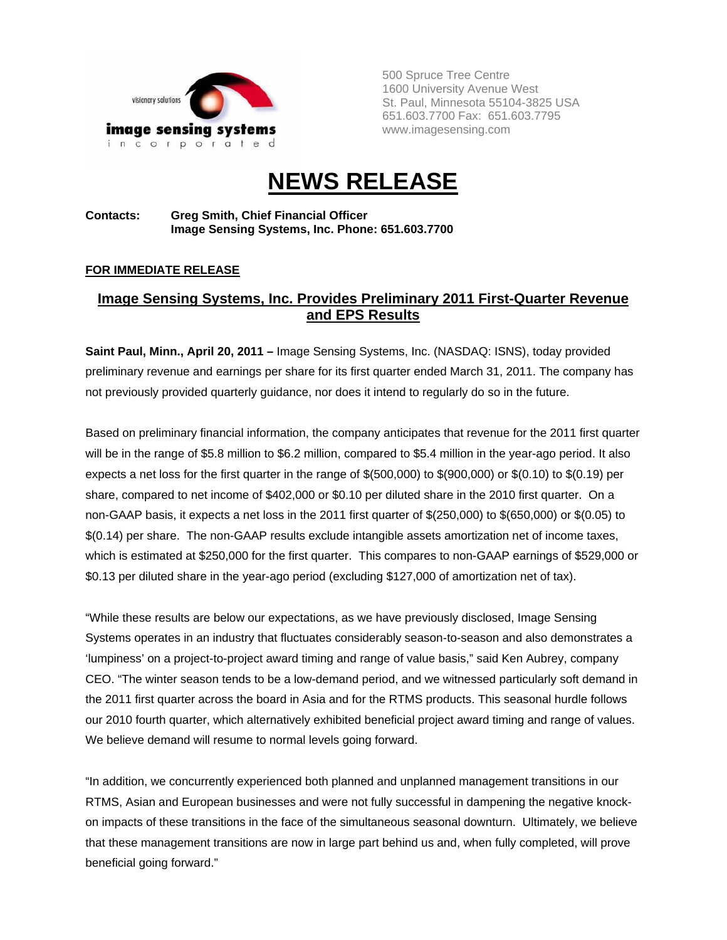

500 Spruce Tree Centre 1600 University Avenue West St. Paul, Minnesota 55104-3825 USA 651.603.7700 Fax: 651.603.7795 www.imagesensing.com

# **NEWS RELEASE**

## **Contacts: Greg Smith, Chief Financial Officer Image Sensing Systems, Inc. Phone: 651.603.7700**

## **FOR IMMEDIATE RELEASE**

# **Image Sensing Systems, Inc. Provides Preliminary 2011 First-Quarter Revenue and EPS Results**

**Saint Paul, Minn., April 20, 2011 –** Image Sensing Systems, Inc. (NASDAQ: ISNS), today provided preliminary revenue and earnings per share for its first quarter ended March 31, 2011. The company has not previously provided quarterly guidance, nor does it intend to regularly do so in the future.

Based on preliminary financial information, the company anticipates that revenue for the 2011 first quarter will be in the range of \$5.8 million to \$6.2 million, compared to \$5.4 million in the year-ago period. It also expects a net loss for the first quarter in the range of \$(500,000) to \$(900,000) or \$(0.10) to \$(0.19) per share, compared to net income of \$402,000 or \$0.10 per diluted share in the 2010 first quarter. On a non-GAAP basis, it expects a net loss in the 2011 first quarter of \$(250,000) to \$(650,000) or \$(0.05) to \$(0.14) per share. The non-GAAP results exclude intangible assets amortization net of income taxes, which is estimated at \$250,000 for the first quarter. This compares to non-GAAP earnings of \$529,000 or \$0.13 per diluted share in the year-ago period (excluding \$127,000 of amortization net of tax).

"While these results are below our expectations, as we have previously disclosed, Image Sensing Systems operates in an industry that fluctuates considerably season-to-season and also demonstrates a 'lumpiness' on a project-to-project award timing and range of value basis," said Ken Aubrey, company CEO. "The winter season tends to be a low-demand period, and we witnessed particularly soft demand in the 2011 first quarter across the board in Asia and for the RTMS products. This seasonal hurdle follows our 2010 fourth quarter, which alternatively exhibited beneficial project award timing and range of values. We believe demand will resume to normal levels going forward.

"In addition, we concurrently experienced both planned and unplanned management transitions in our RTMS, Asian and European businesses and were not fully successful in dampening the negative knockon impacts of these transitions in the face of the simultaneous seasonal downturn. Ultimately, we believe that these management transitions are now in large part behind us and, when fully completed, will prove beneficial going forward."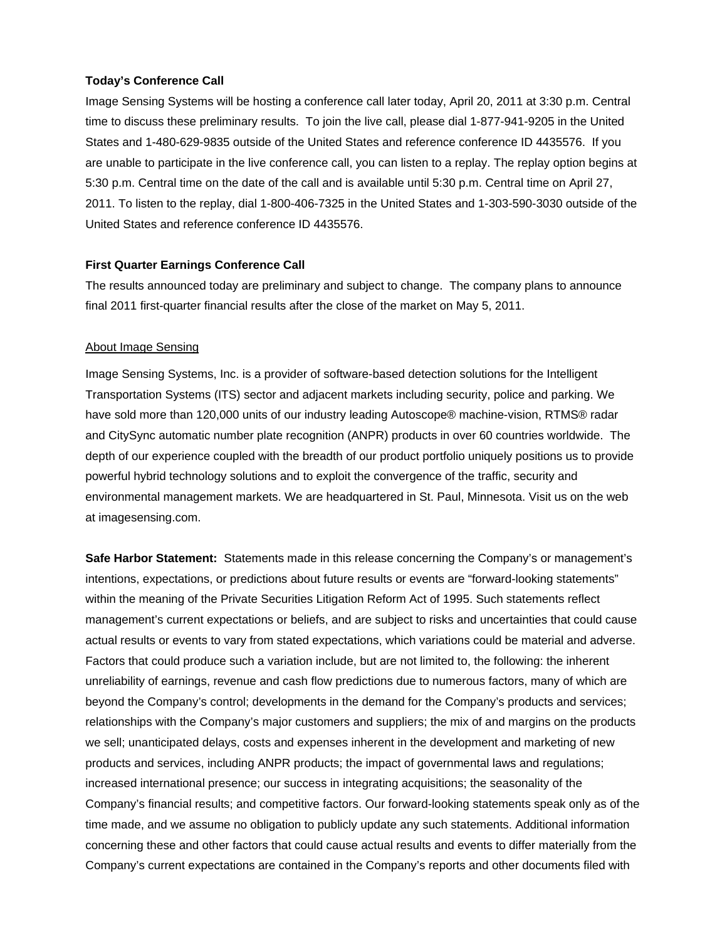## **Today's Conference Call**

Image Sensing Systems will be hosting a conference call later today, April 20, 2011 at 3:30 p.m. Central time to discuss these preliminary results. To join the live call, please dial 1-877-941-9205 in the United States and 1-480-629-9835 outside of the United States and reference conference ID 4435576. If you are unable to participate in the live conference call, you can listen to a replay. The replay option begins at 5:30 p.m. Central time on the date of the call and is available until 5:30 p.m. Central time on April 27, 2011. To listen to the replay, dial 1-800-406-7325 in the United States and 1-303-590-3030 outside of the United States and reference conference ID 4435576.

## **First Quarter Earnings Conference Call**

The results announced today are preliminary and subject to change. The company plans to announce final 2011 first-quarter financial results after the close of the market on May 5, 2011.

#### About Image Sensing

Image Sensing Systems, Inc. is a provider of software-based detection solutions for the Intelligent Transportation Systems (ITS) sector and adjacent markets including security, police and parking. We have sold more than 120,000 units of our industry leading Autoscope® machine-vision, RTMS® radar and CitySync automatic number plate recognition (ANPR) products in over 60 countries worldwide. The depth of our experience coupled with the breadth of our product portfolio uniquely positions us to provide powerful hybrid technology solutions and to exploit the convergence of the traffic, security and environmental management markets. We are headquartered in St. Paul, Minnesota. Visit us on the web at imagesensing.com.

**Safe Harbor Statement:** Statements made in this release concerning the Company's or management's intentions, expectations, or predictions about future results or events are "forward-looking statements" within the meaning of the Private Securities Litigation Reform Act of 1995. Such statements reflect management's current expectations or beliefs, and are subject to risks and uncertainties that could cause actual results or events to vary from stated expectations, which variations could be material and adverse. Factors that could produce such a variation include, but are not limited to, the following: the inherent unreliability of earnings, revenue and cash flow predictions due to numerous factors, many of which are beyond the Company's control; developments in the demand for the Company's products and services; relationships with the Company's major customers and suppliers; the mix of and margins on the products we sell; unanticipated delays, costs and expenses inherent in the development and marketing of new products and services, including ANPR products; the impact of governmental laws and regulations; increased international presence; our success in integrating acquisitions; the seasonality of the Company's financial results; and competitive factors. Our forward-looking statements speak only as of the time made, and we assume no obligation to publicly update any such statements. Additional information concerning these and other factors that could cause actual results and events to differ materially from the Company's current expectations are contained in the Company's reports and other documents filed with